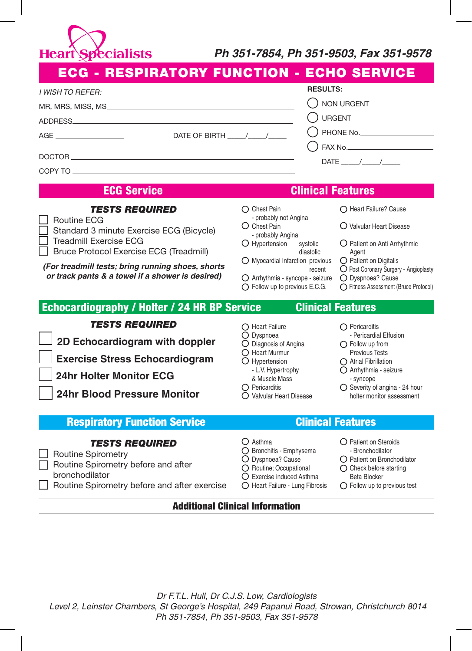**Heart Specialists** 

## *Ph 351-7854, Ph 351-9503, Fax 351-9578*

| ECG - RESPIRATORY FUNCTION - ECHO SERVICE                                                                                                                                                                                                                      |                                                                                                                                                                                                                                                                     |                                                                                                                                                                                                                                              |
|----------------------------------------------------------------------------------------------------------------------------------------------------------------------------------------------------------------------------------------------------------------|---------------------------------------------------------------------------------------------------------------------------------------------------------------------------------------------------------------------------------------------------------------------|----------------------------------------------------------------------------------------------------------------------------------------------------------------------------------------------------------------------------------------------|
| I WISH TO REFER:<br>ADDRESS.<br>DATE OF BIRTH $\frac{1}{\sqrt{2}}$<br><b>ECG Service</b>                                                                                                                                                                       | <b>RESULTS:</b><br><b>NON URGENT</b><br><b>URGENT</b><br>PHONE No.<br>DATE $/$ /<br><b>Clinical Features</b>                                                                                                                                                        |                                                                                                                                                                                                                                              |
| <b>TESTS REQUIRED</b><br>Routine ECG<br>Standard 3 minute Exercise ECG (Bicycle)<br>Treadmill Exercise ECG<br>Bruce Protocol Exercise ECG (Treadmill)<br>(For treadmill tests; bring running shoes, shorts<br>or track pants & a towel if a shower is desired) | $\bigcap$ Chest Pain<br>- probably not Angina<br>O Chest Pain<br>- probably Angina<br>O Hypertension<br>systolic<br>diastolic<br>$\bigcirc$ Myocardial Infarction previous<br>recent<br>O Arrhythmia - syncope - seizure<br>$\bigcirc$ Follow up to previous E.C.G. | Heart Failure? Cause<br>O Valvular Heart Disease<br>O Patient on Anti Arrhythmic<br>Agent<br>$\bigcirc$ Patient on Digitalis<br>O Post Coronary Surgery - Angioplasty<br>O Dyspnoea? Cause<br>○ Fitness Assessment (Bruce Protocol)          |
| Echocardiography / Holter / 24 HR BP Service                                                                                                                                                                                                                   |                                                                                                                                                                                                                                                                     | <b>Clinical Features</b>                                                                                                                                                                                                                     |
| <b>TESTS REQUIRED</b><br>2D Echocardiogram with doppler<br><b>Exercise Stress Echocardiogram</b><br><b>24hr Holter Monitor ECG</b><br><b>24hr Blood Pressure Monitor</b>                                                                                       | $\bigcap$ Heart Failure<br>O Dyspnoea<br>O Diagnosis of Angina<br>$\bigcirc$ Heart Murmur<br>$\bigcirc$ Hypertension<br>- L.V. Hypertrophy<br>& Muscle Mass<br>$\bigcap$ Pericarditis<br>○ Valvular Heart Disease                                                   | $\bigcap$ Pericarditis<br>- Pericardial Effusion<br>$\bigcap$ Follow up from<br><b>Previous Tests</b><br>$\bigcap$ Atrial Fibrillation<br>O Arrhythmia - seizure<br>- syncope<br>○ Severity of angina - 24 hour<br>holter monitor assessment |
| <b>Respiratory Function Service</b>                                                                                                                                                                                                                            | <b>Clinical Features</b>                                                                                                                                                                                                                                            |                                                                                                                                                                                                                                              |
| <b>TESTS REQUIRED</b><br><b>Routine Spirometry</b><br>Routine Spirometry before and after<br>bronchodilator<br>Routine Spirometry before and after exercise                                                                                                    | $\bigcirc$ Asthma<br>◯ Bronchitis - Emphysema<br>O Dyspnoea? Cause<br>O Routine; Occupational<br>○ Exercise induced Asthma<br>◯ Heart Failure - Lung Fibrosis                                                                                                       | ○ Patient on Steroids<br>- Bronchodilator<br>◯ Patient on Bronchodilator<br>$\bigcirc$ Check before starting<br><b>Beta Blocker</b><br>$\bigcirc$ Follow up to previous test                                                                 |
| <b>Additional Clinical Information</b>                                                                                                                                                                                                                         |                                                                                                                                                                                                                                                                     |                                                                                                                                                                                                                                              |

*Dr F.T.L. Hull, Dr C.J.S. Low, Cardiologists Level 2, Leinster Chambers, St George's Hospital, 249 Papanui Road, Strowan, Christchurch 8014 Ph 351-7854, Ph 351-9503, Fax 351-9578*